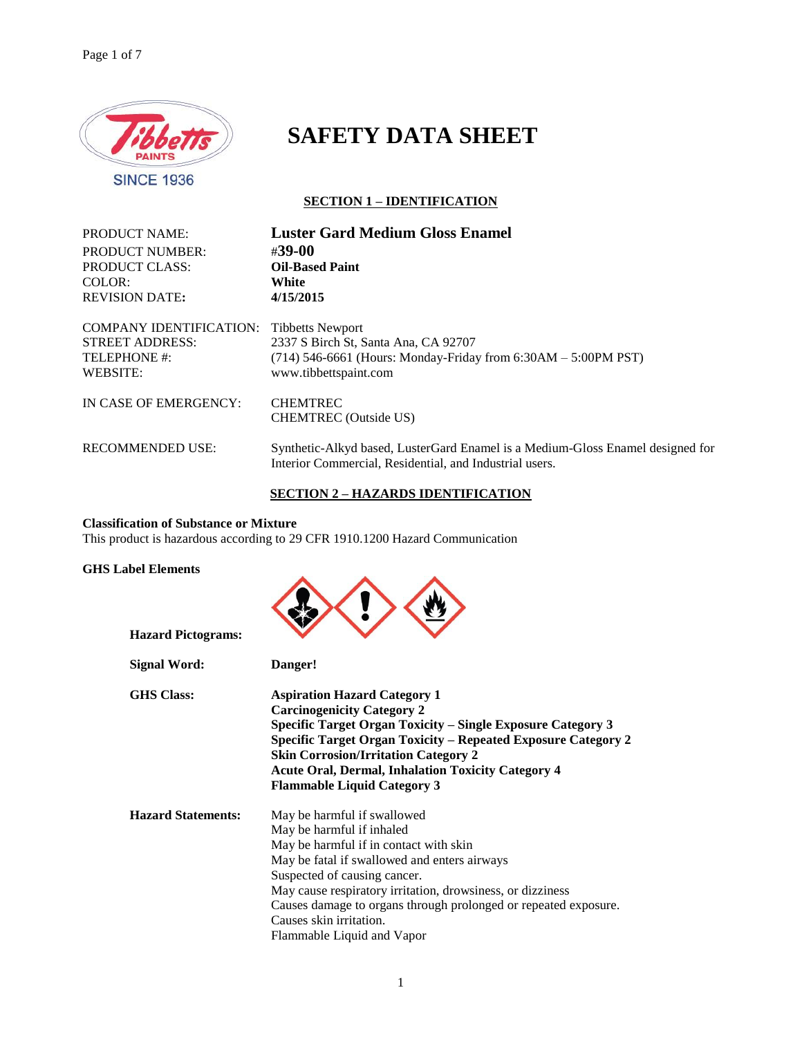

# **SAFETY DATA SHEET**

# **SECTION 1 – IDENTIFICATION**

| <b>PRODUCT NAME:</b>    | <b>Luster Gard Medium Gloss Enamel</b>                                                                                                    |
|-------------------------|-------------------------------------------------------------------------------------------------------------------------------------------|
| <b>PRODUCT NUMBER:</b>  | #39-00                                                                                                                                    |
| PRODUCT CLASS:          | <b>Oil-Based Paint</b>                                                                                                                    |
| COLOR:                  | White                                                                                                                                     |
| <b>REVISION DATE:</b>   | 4/15/2015                                                                                                                                 |
| COMPANY IDENTIFICATION: | <b>Tibbetts Newport</b>                                                                                                                   |
| <b>STREET ADDRESS:</b>  | 2337 S Birch St, Santa Ana, CA 92707                                                                                                      |
| TELEPHONE #:            | $(714)$ 546-6661 (Hours: Monday-Friday from 6:30AM – 5:00PM PST)                                                                          |
| WEBSITE:                | www.tibbettspaint.com                                                                                                                     |
| IN CASE OF EMERGENCY:   | <b>CHEMTREC</b><br><b>CHEMTREC</b> (Outside US)                                                                                           |
| <b>RECOMMENDED USE:</b> | Synthetic-Alkyd based, LusterGard Enamel is a Medium-Gloss Enamel designed for<br>Interior Commercial, Residential, and Industrial users. |

# **SECTION 2 – HAZARDS IDENTIFICATION**

# **Classification of Substance or Mixture**

This product is hazardous according to 29 CFR 1910.1200 Hazard Communication

# **GHS Label Elements**

| <b>Hazard Pictograms:</b> |                                                                                                                                                                                                                                                                                                                                                                              |
|---------------------------|------------------------------------------------------------------------------------------------------------------------------------------------------------------------------------------------------------------------------------------------------------------------------------------------------------------------------------------------------------------------------|
| <b>Signal Word:</b>       | Danger!                                                                                                                                                                                                                                                                                                                                                                      |
| <b>GHS Class:</b>         | <b>Aspiration Hazard Category 1</b><br><b>Carcinogenicity Category 2</b><br>Specific Target Organ Toxicity – Single Exposure Category 3<br>Specific Target Organ Toxicity - Repeated Exposure Category 2<br><b>Skin Corrosion/Irritation Category 2</b><br><b>Acute Oral, Dermal, Inhalation Toxicity Category 4</b><br><b>Flammable Liquid Category 3</b>                   |
| <b>Hazard Statements:</b> | May be harmful if swallowed<br>May be harmful if inhaled<br>May be harmful if in contact with skin<br>May be fatal if swallowed and enters airways<br>Suspected of causing cancer.<br>May cause respiratory irritation, drowsiness, or dizziness<br>Causes damage to organs through prolonged or repeated exposure.<br>Causes skin irritation.<br>Flammable Liquid and Vapor |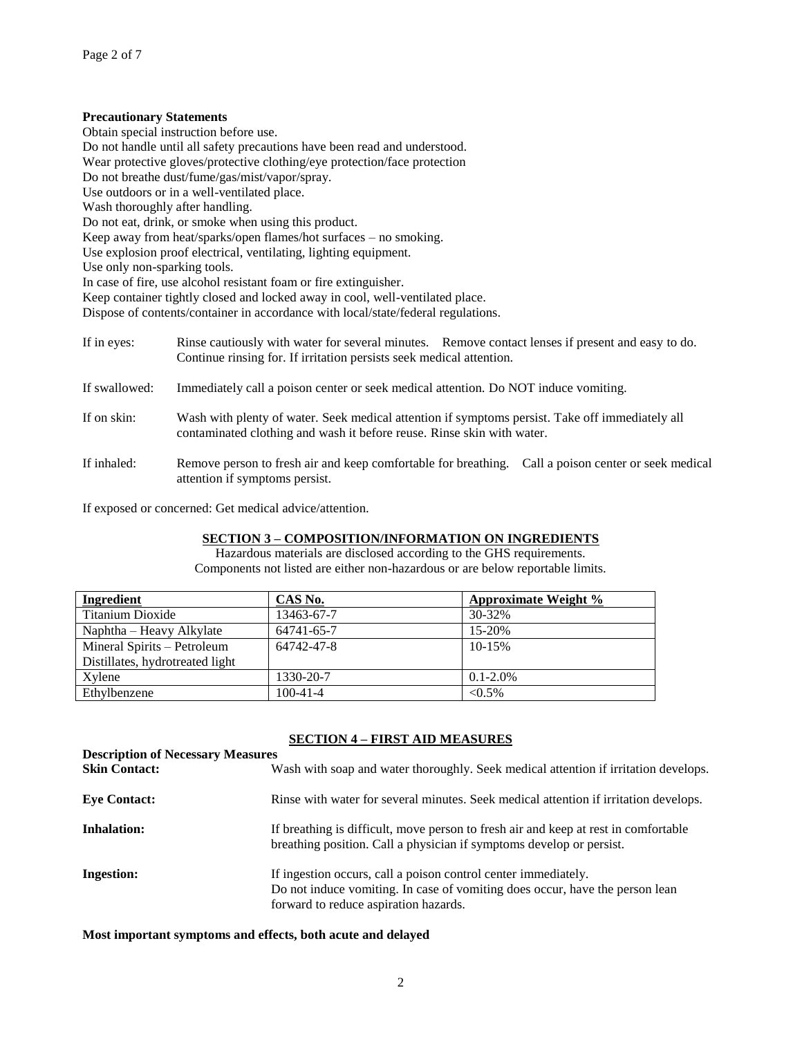# **Precautionary Statements**

Obtain special instruction before use.

Do not handle until all safety precautions have been read and understood.

Wear protective gloves/protective clothing/eye protection/face protection

Do not breathe dust/fume/gas/mist/vapor/spray.

Use outdoors or in a well-ventilated place.

Wash thoroughly after handling.

Do not eat, drink, or smoke when using this product.

Keep away from heat/sparks/open flames/hot surfaces – no smoking.

Use explosion proof electrical, ventilating, lighting equipment.

Use only non-sparking tools.

In case of fire, use alcohol resistant foam or fire extinguisher.

Keep container tightly closed and locked away in cool, well-ventilated place.

Dispose of contents/container in accordance with local/state/federal regulations.

| If in eyes:   | Rinse cautiously with water for several minutes. Remove contact lenses if present and easy to do.<br>Continue rinsing for. If irritation persists seek medical attention. |
|---------------|---------------------------------------------------------------------------------------------------------------------------------------------------------------------------|
| If swallowed: | Immediately call a poison center or seek medical attention. Do NOT induce vomiting.                                                                                       |
| If on skin:   | Wash with plenty of water. Seek medical attention if symptoms persist. Take off immediately all<br>contaminated clothing and wash it before reuse. Rinse skin with water. |
| If inhaled:   | Remove person to fresh air and keep comfortable for breathing. Call a poison center or seek medical<br>attention if symptoms persist.                                     |

If exposed or concerned: Get medical advice/attention.

# **SECTION 3 – COMPOSITION/INFORMATION ON INGREDIENTS**

Hazardous materials are disclosed according to the GHS requirements. Components not listed are either non-hazardous or are below reportable limits.

| Ingredient                      | CAS No.    | Approximate Weight % |
|---------------------------------|------------|----------------------|
| Titanium Dioxide                | 13463-67-7 | 30-32%               |
| Naphtha – Heavy Alkylate        | 64741-65-7 | $15-20%$             |
| Mineral Spirits – Petroleum     | 64742-47-8 | $10 - 15%$           |
| Distillates, hydrotreated light |            |                      |
| Xvlene                          | 1330-20-7  | $0.1 - 2.0\%$        |
| Ethylbenzene                    | 100-41-4   | $< 0.5\%$            |

# **SECTION 4 – FIRST AID MEASURES**

| <b>Description of Necessary Measures</b><br><b>Skin Contact:</b> | Wash with soap and water thoroughly. Seek medical attention if irritation develops.                                                                                                     |
|------------------------------------------------------------------|-----------------------------------------------------------------------------------------------------------------------------------------------------------------------------------------|
| <b>Eve Contact:</b>                                              | Rinse with water for several minutes. Seek medical attention if irritation develops.                                                                                                    |
| <b>Inhalation:</b>                                               | If breathing is difficult, move person to fresh air and keep at rest in comfortable<br>breathing position. Call a physician if symptoms develop or persist.                             |
| <b>Ingestion:</b>                                                | If ingestion occurs, call a poison control center immediately.<br>Do not induce vomiting. In case of vomiting does occur, have the person lean<br>forward to reduce aspiration hazards. |

**Most important symptoms and effects, both acute and delayed**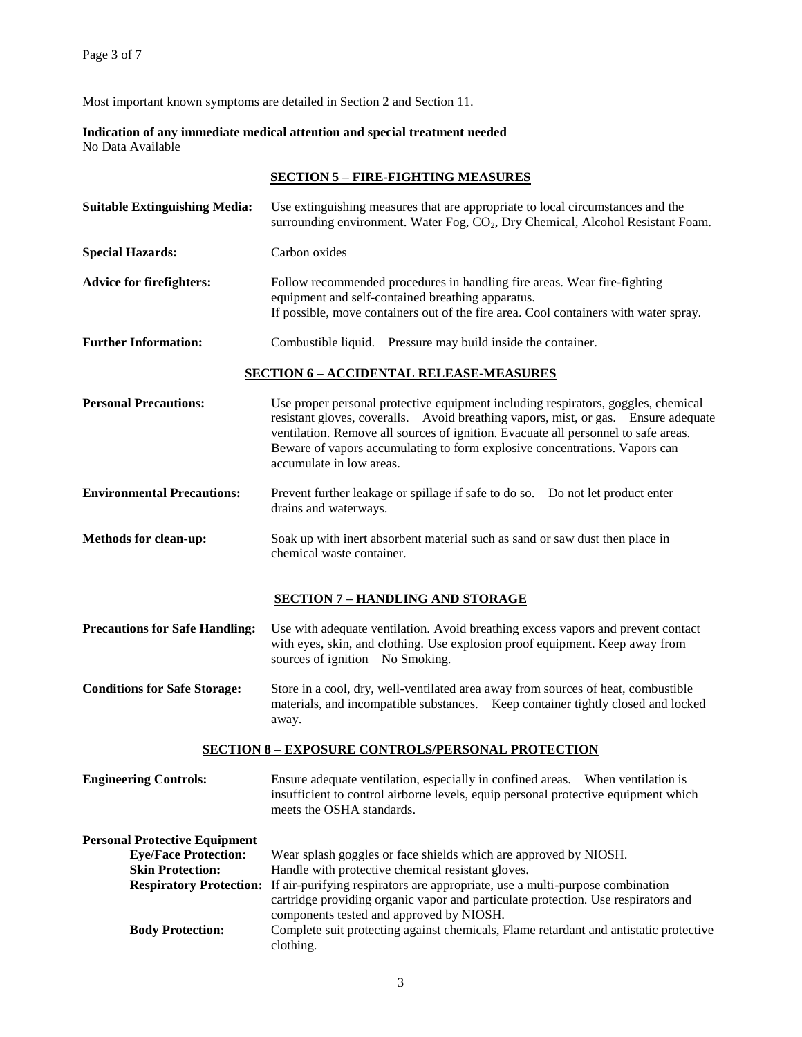Most important known symptoms are detailed in Section 2 and Section 11.

**Indication of any immediate medical attention and special treatment needed** No Data Available

| <b>SECTION 5 – FIRE-FIGHTING MEASURES</b> |  |
|-------------------------------------------|--|
|                                           |  |

| <b>Suitable Extinguishing Media:</b>                                                                                                                        | Use extinguishing measures that are appropriate to local circumstances and the<br>surrounding environment. Water Fog, CO <sub>2</sub> , Dry Chemical, Alcohol Resistant Foam.                                                                                                                                                                                                                                                    |  |
|-------------------------------------------------------------------------------------------------------------------------------------------------------------|----------------------------------------------------------------------------------------------------------------------------------------------------------------------------------------------------------------------------------------------------------------------------------------------------------------------------------------------------------------------------------------------------------------------------------|--|
| <b>Special Hazards:</b>                                                                                                                                     | Carbon oxides                                                                                                                                                                                                                                                                                                                                                                                                                    |  |
| <b>Advice for firefighters:</b>                                                                                                                             | Follow recommended procedures in handling fire areas. Wear fire-fighting<br>equipment and self-contained breathing apparatus.<br>If possible, move containers out of the fire area. Cool containers with water spray.                                                                                                                                                                                                            |  |
| <b>Further Information:</b>                                                                                                                                 | Combustible liquid. Pressure may build inside the container.                                                                                                                                                                                                                                                                                                                                                                     |  |
|                                                                                                                                                             | <b>SECTION 6 - ACCIDENTAL RELEASE-MEASURES</b>                                                                                                                                                                                                                                                                                                                                                                                   |  |
| <b>Personal Precautions:</b>                                                                                                                                | Use proper personal protective equipment including respirators, goggles, chemical<br>resistant gloves, coveralls. Avoid breathing vapors, mist, or gas. Ensure adequate<br>ventilation. Remove all sources of ignition. Evacuate all personnel to safe areas.<br>Beware of vapors accumulating to form explosive concentrations. Vapors can<br>accumulate in low areas.                                                          |  |
| <b>Environmental Precautions:</b>                                                                                                                           | Prevent further leakage or spillage if safe to do so. Do not let product enter<br>drains and waterways.                                                                                                                                                                                                                                                                                                                          |  |
| Methods for clean-up:                                                                                                                                       | Soak up with inert absorbent material such as sand or saw dust then place in<br>chemical waste container.                                                                                                                                                                                                                                                                                                                        |  |
|                                                                                                                                                             | <b>SECTION 7 - HANDLING AND STORAGE</b>                                                                                                                                                                                                                                                                                                                                                                                          |  |
| <b>Precautions for Safe Handling:</b>                                                                                                                       | Use with adequate ventilation. Avoid breathing excess vapors and prevent contact<br>with eyes, skin, and clothing. Use explosion proof equipment. Keep away from<br>sources of ignition - No Smoking.                                                                                                                                                                                                                            |  |
| <b>Conditions for Safe Storage:</b>                                                                                                                         | Store in a cool, dry, well-ventilated area away from sources of heat, combustible<br>materials, and incompatible substances. Keep container tightly closed and locked<br>away.                                                                                                                                                                                                                                                   |  |
|                                                                                                                                                             | <b>SECTION 8 - EXPOSURE CONTROLS/PERSONAL PROTECTION</b>                                                                                                                                                                                                                                                                                                                                                                         |  |
| <b>Engineering Controls:</b>                                                                                                                                | Ensure adequate ventilation, especially in confined areas. When ventilation is<br>insufficient to control airborne levels, equip personal protective equipment which<br>meets the OSHA standards.                                                                                                                                                                                                                                |  |
| <b>Personal Protective Equipment</b><br><b>Eye/Face Protection:</b><br><b>Skin Protection:</b><br><b>Respiratory Protection:</b><br><b>Body Protection:</b> | Wear splash goggles or face shields which are approved by NIOSH.<br>Handle with protective chemical resistant gloves.<br>If air-purifying respirators are appropriate, use a multi-purpose combination<br>cartridge providing organic vapor and particulate protection. Use respirators and<br>components tested and approved by NIOSH.<br>Complete suit protecting against chemicals, Flame retardant and antistatic protective |  |
|                                                                                                                                                             | clothing.                                                                                                                                                                                                                                                                                                                                                                                                                        |  |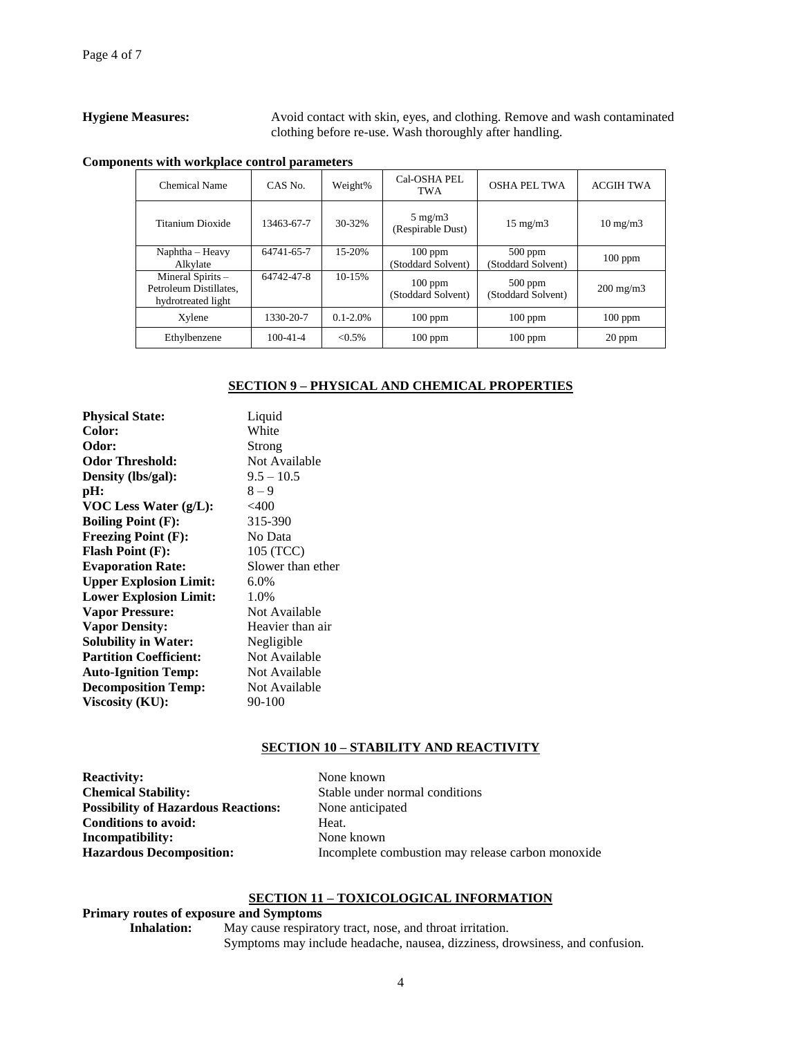**Hygiene Measures:** Avoid contact with skin, eyes, and clothing. Remove and wash contaminated clothing before re-use. Wash thoroughly after handling.

|  | Components with workplace control parameters |
|--|----------------------------------------------|
|--|----------------------------------------------|

| Chemical Name                                                     | CAS No.        | Weight%       | Cal-OSHA PEL<br>TWA                   | OSHA PEL TWA                    | <b>ACGIH TWA</b>   |
|-------------------------------------------------------------------|----------------|---------------|---------------------------------------|---------------------------------|--------------------|
| Titanium Dioxide                                                  | 13463-67-7     | 30-32%        | $5 \text{ mg/m}$<br>(Respirable Dust) | $15 \text{ mg/m}$               | $10 \text{ mg/m}$  |
| $N$ aphtha – Heavy<br>Alkylate                                    | 64741-65-7     | 15-20%        | $100$ ppm<br>(Stoddard Solvent)       | $500$ ppm<br>(Stoddard Solvent) | $100$ ppm          |
| Mineral Spirits -<br>Petroleum Distillates.<br>hydrotreated light | 64742-47-8     | $10-15%$      | $100$ ppm<br>(Stoddard Solvent)       | $500$ ppm<br>(Stoddard Solvent) | $200 \text{ mg/m}$ |
| Xylene                                                            | 1330-20-7      | $0.1 - 2.0\%$ | $100$ ppm                             | $100$ ppm                       | $100$ ppm          |
| Ethylbenzene                                                      | $100 - 41 - 4$ | $< 0.5\%$     | $100$ ppm                             | $100$ ppm                       | $20$ ppm           |

# **SECTION 9 – PHYSICAL AND CHEMICAL PROPERTIES**

| <b>Physical State:</b>        | Liquid            |
|-------------------------------|-------------------|
| Color:                        | White             |
| Odor:                         | Strong            |
| <b>Odor Threshold:</b>        | Not Available     |
| Density (lbs/gal):            | $9.5 - 10.5$      |
| pH:                           | $8 - 9$           |
| VOC Less Water (g/L):         | $<$ 400           |
| <b>Boiling Point (F):</b>     | 315-390           |
| <b>Freezing Point (F):</b>    | No Data           |
| <b>Flash Point (F):</b>       | 105 (TCC)         |
| <b>Evaporation Rate:</b>      | Slower than ether |
| <b>Upper Explosion Limit:</b> | $6.0\%$           |
| <b>Lower Explosion Limit:</b> | 1.0%              |
| <b>Vapor Pressure:</b>        | Not Available     |
| <b>Vapor Density:</b>         | Heavier than air  |
| <b>Solubility in Water:</b>   | Negligible        |
| <b>Partition Coefficient:</b> | Not Available     |
| <b>Auto-Ignition Temp:</b>    | Not Available     |
| <b>Decomposition Temp:</b>    | Not Available     |
| Viscosity (KU):               | 90-100            |
|                               |                   |

# **SECTION 10 – STABILITY AND REACTIVITY**

| <b>Reactivity:</b>                         | None known                                        |
|--------------------------------------------|---------------------------------------------------|
| <b>Chemical Stability:</b>                 | Stable under normal conditions                    |
| <b>Possibility of Hazardous Reactions:</b> | None anticipated                                  |
| <b>Conditions to avoid:</b>                | Heat.                                             |
| Incompatibility:                           | None known                                        |
| <b>Hazardous Decomposition:</b>            | Incomplete combustion may release carbon monoxide |

# **SECTION 11 – TOXICOLOGICAL INFORMATION**

# **Primary routes of exposure and Symptoms**

**Inhalation:** May cause respiratory tract, nose, and throat irritation. Symptoms may include headache, nausea, dizziness, drowsiness, and confusion.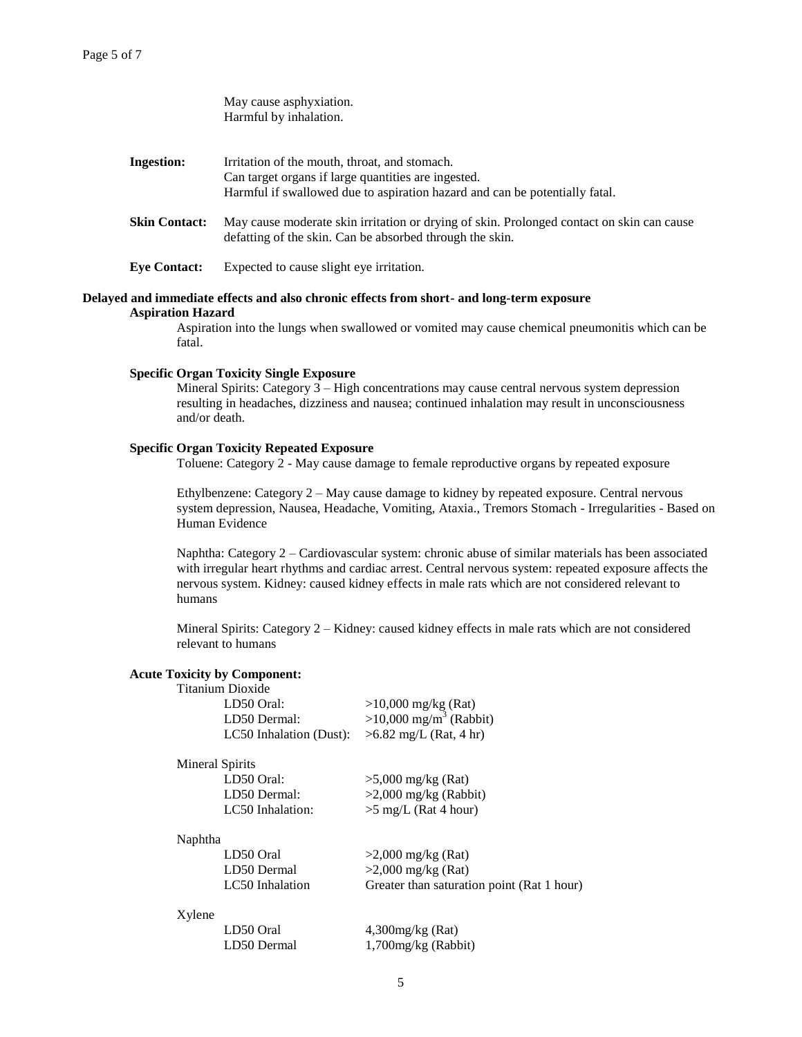|                                                                                                                                                                                                                                                                        | May cause asphyxiation.<br>Harmful by inhalation.                                                                                                                                            |
|------------------------------------------------------------------------------------------------------------------------------------------------------------------------------------------------------------------------------------------------------------------------|----------------------------------------------------------------------------------------------------------------------------------------------------------------------------------------------|
| <b>Ingestion:</b>                                                                                                                                                                                                                                                      | Irritation of the mouth, throat, and stomach.<br>Can target organs if large quantities are ingested.<br>Harmful if swallowed due to aspiration hazard and can be potentially fatal.          |
| <b>Skin Contact:</b>                                                                                                                                                                                                                                                   | May cause moderate skin irritation or drying of skin. Prolonged contact on skin can cause<br>defatting of the skin. Can be absorbed through the skin.                                        |
| <b>Eye Contact:</b>                                                                                                                                                                                                                                                    | Expected to cause slight eye irritation.                                                                                                                                                     |
| <b>Aspiration Hazard</b><br>fatal.                                                                                                                                                                                                                                     | Delayed and immediate effects and also chronic effects from short- and long-term exposure<br>Aspiration into the lungs when swallowed or vomited may cause chemical pneumonitis which can be |
| <b>Specific Organ Toxicity Single Exposure</b><br>Mineral Spirits: Category $3 - High$ concentrations may cause central nervous system depression<br>resulting in headaches, dizziness and nausea; continued inhalation may result in unconsciousness<br>and/or death. |                                                                                                                                                                                              |
|                                                                                                                                                                                                                                                                        | <b>Specific Organ Toxicity Repeated Exposure</b>                                                                                                                                             |

Toluene: Category 2 - May cause damage to female reproductive organs by repeated exposure

Ethylbenzene: Category 2 – May cause damage to kidney by repeated exposure. Central nervous system depression, Nausea, Headache, Vomiting, Ataxia., Tremors Stomach - Irregularities - Based on Human Evidence

Naphtha: Category 2 – Cardiovascular system: chronic abuse of similar materials has been associated with irregular heart rhythms and cardiac arrest. Central nervous system: repeated exposure affects the nervous system. Kidney: caused kidney effects in male rats which are not considered relevant to humans

Mineral Spirits: Category 2 – Kidney: caused kidney effects in male rats which are not considered relevant to humans

#### **Acute Toxicity by Component:**

| Titanium Dioxide                                 |                                                               |
|--------------------------------------------------|---------------------------------------------------------------|
| LD50 Oral:                                       |                                                               |
| LD50 Dermal:                                     | $>10,000$ mg/kg (Rat)<br>$>10,000$ mg/m <sup>3</sup> (Rabbit) |
| LC50 Inhalation (Dust): $>6.82$ mg/L (Rat, 4 hr) |                                                               |

| Mineral Spirits  |                         |
|------------------|-------------------------|
| LD50 Oral:       | $>5,000$ mg/kg (Rat)    |
| LD50 Dermal:     | $>2,000$ mg/kg (Rabbit) |
| LC50 Inhalation: | $>5$ mg/L (Rat 4 hour)  |
|                  |                         |

#### Naphtha

| LD50 Oral       | $>2,000$ mg/kg (Rat)                       |
|-----------------|--------------------------------------------|
| LD50 Dermal     | $>2,000$ mg/kg (Rat)                       |
| LC50 Inhalation | Greater than saturation point (Rat 1 hour) |

### Xylene

| LD50 Oral   | $4,300$ mg/kg (Rat)    |
|-------------|------------------------|
| LD50 Dermal | $1,700$ mg/kg (Rabbit) |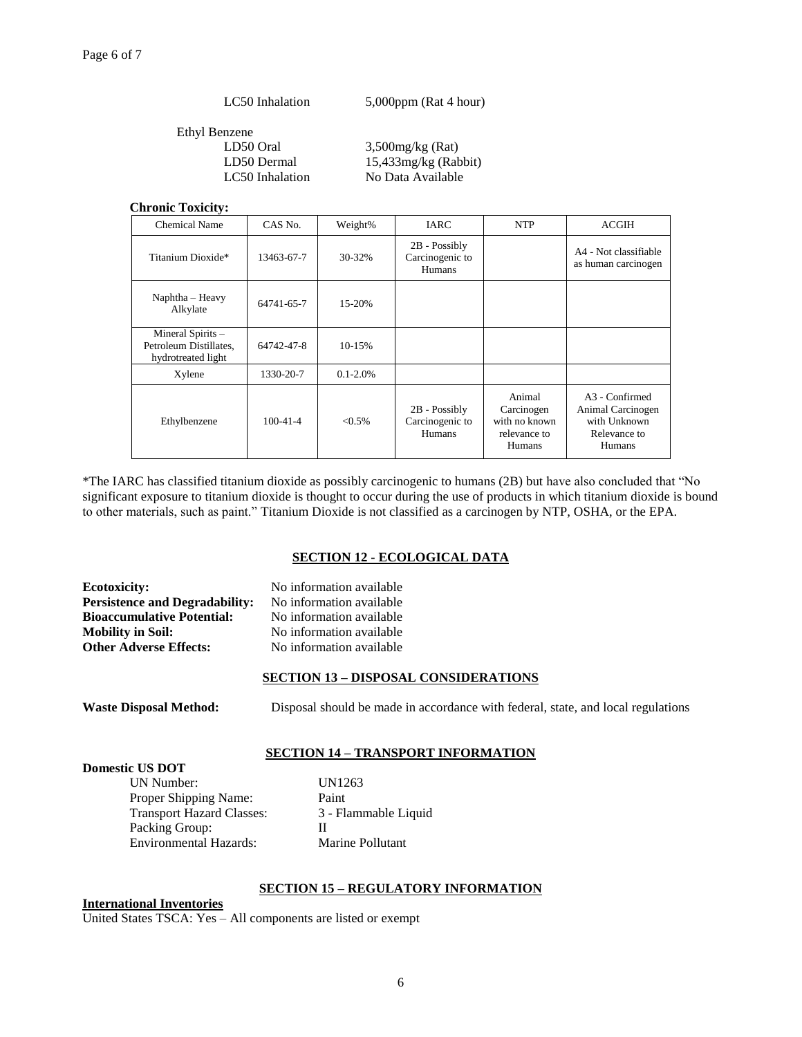LC50 Inhalation 5,000ppm (Rat 4 hour)

Ethyl Benzene LD50 Oral 3,500mg/kg (Rat)

LD50 Dermal 15,433mg/kg (Rabbit) LC50 Inhalation No Data Available

# **Chronic Toxicity:**

| <b>Chemical Name</b>                                              | CAS No.        | Weight%       | IARC                                                | <b>NTP</b>                                                      | <b>ACGIH</b>                                                                              |
|-------------------------------------------------------------------|----------------|---------------|-----------------------------------------------------|-----------------------------------------------------------------|-------------------------------------------------------------------------------------------|
| Titanium Dioxide*                                                 | 13463-67-7     | 30-32%        | $2B - Possibly$<br>Carcinogenic to<br>Humans        |                                                                 | A4 - Not classifiable<br>as human carcinogen                                              |
| Naphtha - Heavy<br>Alkylate                                       | 64741-65-7     | 15-20%        |                                                     |                                                                 |                                                                                           |
| Mineral Spirits -<br>Petroleum Distillates.<br>hydrotreated light | 64742-47-8     | 10-15%        |                                                     |                                                                 |                                                                                           |
| Xylene                                                            | 1330-20-7      | $0.1 - 2.0\%$ |                                                     |                                                                 |                                                                                           |
| Ethylbenzene                                                      | $100 - 41 - 4$ | $< 0.5\%$     | $2B - Possibly$<br>Carcinogenic to<br><b>Humans</b> | Animal<br>Carcinogen<br>with no known<br>relevance to<br>Humans | A <sub>3</sub> - Confirmed<br>Animal Carcinogen<br>with Unknown<br>Relevance to<br>Humans |

\*The IARC has classified titanium dioxide as possibly carcinogenic to humans (2B) but have also concluded that "No significant exposure to titanium dioxide is thought to occur during the use of products in which titanium dioxide is bound to other materials, such as paint." Titanium Dioxide is not classified as a carcinogen by NTP, OSHA, or the EPA.

# **SECTION 12 - ECOLOGICAL DATA**

**Ecotoxicity:** No information available Persistence and Degradability: No information available **Bioaccumulative Potential:** No information available **Mobility in Soil:** No information available **Other Adverse Effects:** No information available

# **SECTION 13 – DISPOSAL CONSIDERATIONS**

**Waste Disposal Method:** Disposal should be made in accordance with federal, state, and local regulations

### **SECTION 14 – TRANSPORT INFORMATION**

**Domestic US DOT** UN Number: UN1263 Proper Shipping Name: Paint Transport Hazard Classes: 3 - Flammable Liquid Packing Group: II Environmental Hazards: Marine Pollutant

# **SECTION 15 – REGULATORY INFORMATION**

**International Inventories**

United States TSCA: Yes – All components are listed or exempt